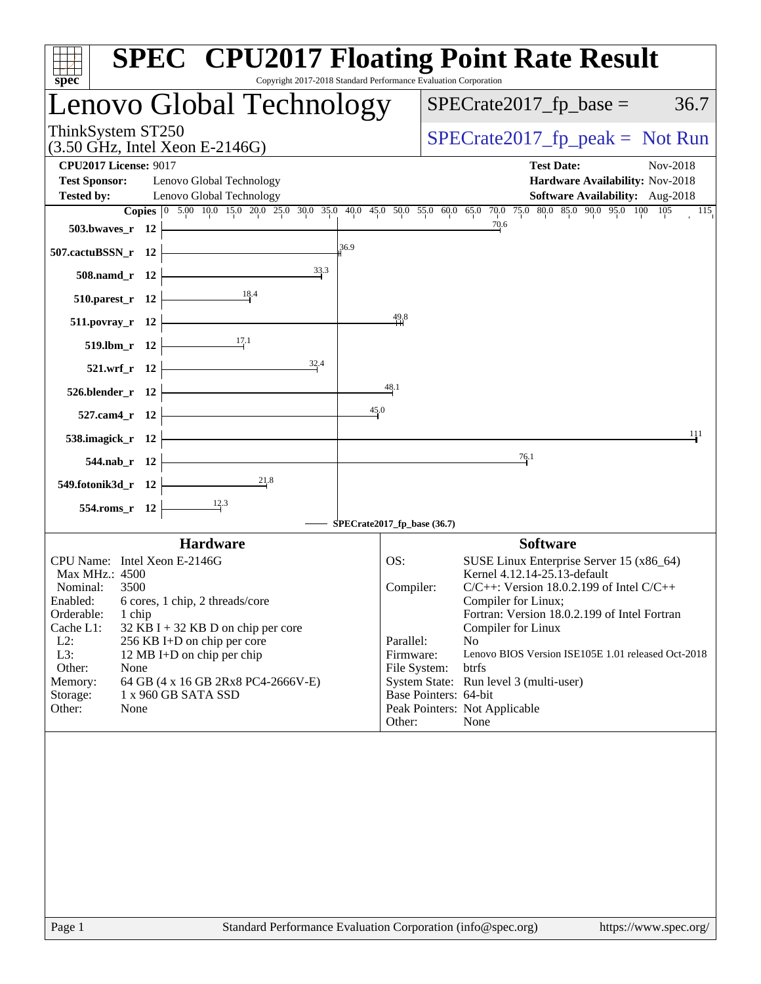| Copyright 2017-2018 Standard Performance Evaluation Corporation<br>spec          |                             | <b>SPEC<sup>®</sup> CPU2017 Floating Point Rate Result</b>                                                                                                                                       |
|----------------------------------------------------------------------------------|-----------------------------|--------------------------------------------------------------------------------------------------------------------------------------------------------------------------------------------------|
| Lenovo Global Technology                                                         |                             | $SPECrate2017_fp\_base =$<br>36.7                                                                                                                                                                |
| ThinkSystem ST250<br>$(3.50 \text{ GHz}, \text{Intel Xeon E-2146G})$             |                             | $SPECrate2017_fp\_peak = Not Run$                                                                                                                                                                |
| <b>CPU2017 License: 9017</b>                                                     |                             | <b>Test Date:</b><br>Nov-2018                                                                                                                                                                    |
| <b>Test Sponsor:</b><br>Lenovo Global Technology                                 |                             | Hardware Availability: Nov-2018                                                                                                                                                                  |
| <b>Tested by:</b><br>Lenovo Global Technology                                    |                             | Software Availability: Aug-2018                                                                                                                                                                  |
|                                                                                  |                             | Copies $\begin{bmatrix} 0 & 5.00 & 10.0 & 15.0 & 20.0 & 25.0 & 30.0 & 35.0 & 40.0 & 45.0 & 50.0 & 55.0 & 60.0 & 65.0 & 70.0 & 75.0 & 80.0 & 85.0 & 90.0 & 95.0 & 100 & 105 \end{bmatrix}$<br>115 |
| 503.bwaves_r $12$ $\leftarrow$                                                   |                             | 70.6                                                                                                                                                                                             |
| 507.cactuBSSN_r 12 $\vert$                                                       | 36.9                        |                                                                                                                                                                                                  |
| $508.namd_r$ 12<br>33.3                                                          |                             |                                                                                                                                                                                                  |
| 510.parest_r 12 $\frac{18.4}{12}$                                                | 49.8                        |                                                                                                                                                                                                  |
| 511.povray_r 12 $\vert$<br>$\overline{\phantom{a}17.1}$                          |                             |                                                                                                                                                                                                  |
| $519.$ lbm_r 12<br>$521.wrf_r 12$                                                |                             |                                                                                                                                                                                                  |
| $526.$ blender_r 12 $\vdash$                                                     | 48.1                        |                                                                                                                                                                                                  |
| 527.cam4_r $12$                                                                  | 45.0                        |                                                                                                                                                                                                  |
| 538.imagick_r $12$ $-$                                                           |                             | 111                                                                                                                                                                                              |
| $544$ .nab_r 12                                                                  |                             | $\frac{76.1}{9}$                                                                                                                                                                                 |
| 549.fotonik3d_r 12 $\frac{21.8}{12}$                                             |                             |                                                                                                                                                                                                  |
| $554$ .roms_r 12 $\vert$                                                         |                             |                                                                                                                                                                                                  |
|                                                                                  | SPECrate2017_fp_base (36.7) |                                                                                                                                                                                                  |
| <b>Hardware</b>                                                                  |                             | <b>Software</b>                                                                                                                                                                                  |
| CPU Name: Intel Xeon E-2146G                                                     | OS:                         | SUSE Linux Enterprise Server 15 (x86_64)                                                                                                                                                         |
| Max MHz.: 4500                                                                   |                             | Kernel 4.12.14-25.13-default                                                                                                                                                                     |
| Nominal:<br>3500<br>Enabled: 6 cores, 1 chip, 2 threads/core                     | Compiler:                   | $C/C++$ : Version 18.0.2.199 of Intel $C/C++$<br>Compiler for Linux;                                                                                                                             |
| Orderable:<br>1 chip                                                             |                             | Fortran: Version 18.0.2.199 of Intel Fortran                                                                                                                                                     |
| Cache L1:<br>$32$ KB I + 32 KB D on chip per core                                |                             | Compiler for Linux                                                                                                                                                                               |
| $L2$ :<br>256 KB I+D on chip per core                                            | Parallel:                   | N <sub>o</sub>                                                                                                                                                                                   |
| L3:<br>12 MB I+D on chip per chip                                                | Firmware:                   | Lenovo BIOS Version ISE105E 1.01 released Oct-2018                                                                                                                                               |
| Other:<br>None                                                                   | File System:                | btrfs                                                                                                                                                                                            |
| 64 GB (4 x 16 GB 2Rx8 PC4-2666V-E)<br>Memory:<br>1 x 960 GB SATA SSD<br>Storage: |                             | System State: Run level 3 (multi-user)<br>Base Pointers: 64-bit                                                                                                                                  |
| Other:<br>None                                                                   |                             | Peak Pointers: Not Applicable                                                                                                                                                                    |
|                                                                                  | Other:                      | None                                                                                                                                                                                             |
|                                                                                  |                             |                                                                                                                                                                                                  |
| Page 1                                                                           |                             | Standard Performance Evaluation Corporation (info@spec.org)<br>https://www.spec.org/                                                                                                             |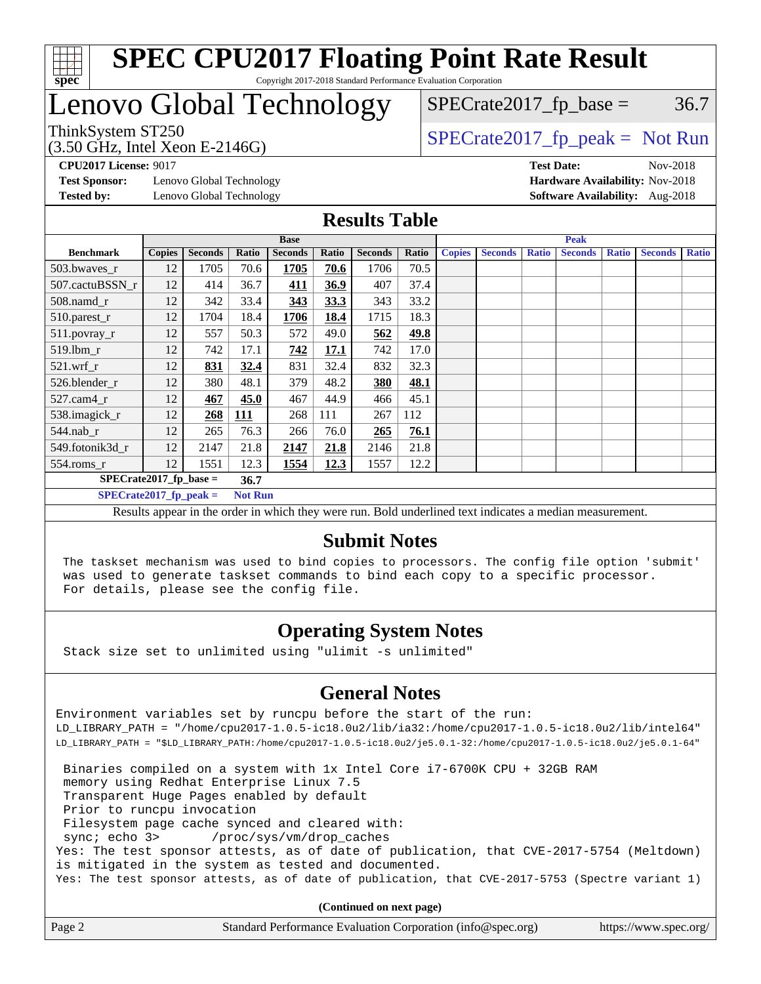

## Lenovo Global Technology

 $SPECTate2017<sub>fr</sub> peak = Not Run$  $SPECTate2017<sub>fp</sub> base =  $36.7$$ 

ThinkSystem ST250<br>(3.50 GHz, Intel Xeon E-2146G)

**[Test Sponsor:](http://www.spec.org/auto/cpu2017/Docs/result-fields.html#TestSponsor)** Lenovo Global Technology **[Hardware Availability:](http://www.spec.org/auto/cpu2017/Docs/result-fields.html#HardwareAvailability)** Nov-2018 **[Tested by:](http://www.spec.org/auto/cpu2017/Docs/result-fields.html#Testedby)** Lenovo Global Technology **[Software Availability:](http://www.spec.org/auto/cpu2017/Docs/result-fields.html#SoftwareAvailability)** Aug-2018

**[CPU2017 License:](http://www.spec.org/auto/cpu2017/Docs/result-fields.html#CPU2017License)** 9017 **[Test Date:](http://www.spec.org/auto/cpu2017/Docs/result-fields.html#TestDate)** Nov-2018

### **[Results Table](http://www.spec.org/auto/cpu2017/Docs/result-fields.html#ResultsTable)**

|                                            | <b>Base</b>   |                |            |                | <b>Peak</b> |                |       |               |                |              |                |              |                |              |
|--------------------------------------------|---------------|----------------|------------|----------------|-------------|----------------|-------|---------------|----------------|--------------|----------------|--------------|----------------|--------------|
| <b>Benchmark</b>                           | <b>Copies</b> | <b>Seconds</b> | Ratio      | <b>Seconds</b> | Ratio       | <b>Seconds</b> | Ratio | <b>Copies</b> | <b>Seconds</b> | <b>Ratio</b> | <b>Seconds</b> | <b>Ratio</b> | <b>Seconds</b> | <b>Ratio</b> |
| 503.bwayes_r                               | 12            | 1705           | 70.6       | 1705           | 70.6        | 1706           | 70.5  |               |                |              |                |              |                |              |
| 507.cactuBSSN r                            | 12            | 414            | 36.7       | <u>411</u>     | 36.9        | 407            | 37.4  |               |                |              |                |              |                |              |
| $508$ .namd $r$                            | 12            | 342            | 33.4       | 343            | 33.3        | 343            | 33.2  |               |                |              |                |              |                |              |
| 510.parest_r                               | 12            | 1704           | 18.4       | 1706           | 18.4        | 1715           | 18.3  |               |                |              |                |              |                |              |
| 511.povray_r                               | 12            | 557            | 50.3       | 572            | 49.0        | 562            | 49.8  |               |                |              |                |              |                |              |
| 519.lbm r                                  | 12            | 742            | 17.1       | 742            | 17.1        | 742            | 17.0  |               |                |              |                |              |                |              |
| $521$ .wrf r                               | 12            | 831            | 32.4       | 831            | 32.4        | 832            | 32.3  |               |                |              |                |              |                |              |
| 526.blender r                              | 12            | 380            | 48.1       | 379            | 48.2        | 380            | 48.1  |               |                |              |                |              |                |              |
| $527$ .cam $4r$                            | 12            | 467            | 45.0       | 467            | 44.9        | 466            | 45.1  |               |                |              |                |              |                |              |
| 538.imagick_r                              | 12            | 268            | <b>111</b> | 268            | 111         | 267            | 112   |               |                |              |                |              |                |              |
| $544$ .nab_r                               | 12            | 265            | 76.3       | 266            | 76.0        | 265            | 76.1  |               |                |              |                |              |                |              |
| 549.fotonik3d r                            | 12            | 2147           | 21.8       | 2147           | 21.8        | 2146           | 21.8  |               |                |              |                |              |                |              |
| $554$ .roms $r$                            | 12            | 1551           | 12.3       | 1554           | 12.3        | 1557           | 12.2  |               |                |              |                |              |                |              |
| $SPECrate2017$ fp base =                   |               |                | 36.7       |                |             |                |       |               |                |              |                |              |                |              |
| $SPECrate2017$ fp peak =<br><b>Not Run</b> |               |                |            |                |             |                |       |               |                |              |                |              |                |              |

Results appear in the [order in which they were run.](http://www.spec.org/auto/cpu2017/Docs/result-fields.html#RunOrder) Bold underlined text [indicates a median measurement.](http://www.spec.org/auto/cpu2017/Docs/result-fields.html#Median)

### **[Submit Notes](http://www.spec.org/auto/cpu2017/Docs/result-fields.html#SubmitNotes)**

 The taskset mechanism was used to bind copies to processors. The config file option 'submit' was used to generate taskset commands to bind each copy to a specific processor. For details, please see the config file.

### **[Operating System Notes](http://www.spec.org/auto/cpu2017/Docs/result-fields.html#OperatingSystemNotes)**

Stack size set to unlimited using "ulimit -s unlimited"

### **[General Notes](http://www.spec.org/auto/cpu2017/Docs/result-fields.html#GeneralNotes)**

Environment variables set by runcpu before the start of the run: LD\_LIBRARY\_PATH = "/home/cpu2017-1.0.5-ic18.0u2/lib/ia32:/home/cpu2017-1.0.5-ic18.0u2/lib/intel64" LD\_LIBRARY\_PATH = "\$LD\_LIBRARY\_PATH:/home/cpu2017-1.0.5-ic18.0u2/je5.0.1-32:/home/cpu2017-1.0.5-ic18.0u2/je5.0.1-64"

 Binaries compiled on a system with 1x Intel Core i7-6700K CPU + 32GB RAM memory using Redhat Enterprise Linux 7.5 Transparent Huge Pages enabled by default Prior to runcpu invocation Filesystem page cache synced and cleared with: sync; echo 3> /proc/sys/vm/drop\_caches Yes: The test sponsor attests, as of date of publication, that CVE-2017-5754 (Meltdown) is mitigated in the system as tested and documented. Yes: The test sponsor attests, as of date of publication, that CVE-2017-5753 (Spectre variant 1)

**(Continued on next page)**

| Page 2 | Standard Performance Evaluation Corporation (info@spec.org) | https://www.spec.org/ |
|--------|-------------------------------------------------------------|-----------------------|
|--------|-------------------------------------------------------------|-----------------------|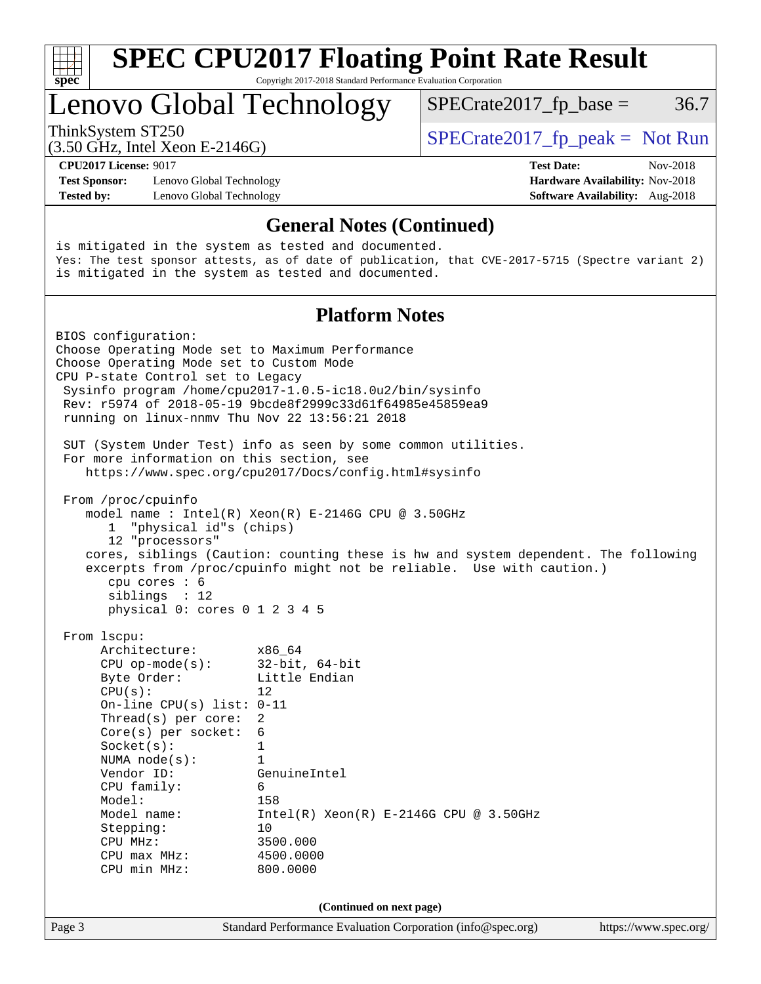| SI<br>Dе<br>Q |  |  |  |  |  |  |
|---------------|--|--|--|--|--|--|

## Lenovo Global Technology

ThinkSystem ST250  $SPECrate2017$  fp\_peak = Not Run

 $SPECTate2017<sub>fp</sub> base =  $36.7$$ 

(3.50 GHz, Intel Xeon E-2146G)

**[Test Sponsor:](http://www.spec.org/auto/cpu2017/Docs/result-fields.html#TestSponsor)** Lenovo Global Technology **[Hardware Availability:](http://www.spec.org/auto/cpu2017/Docs/result-fields.html#HardwareAvailability)** Nov-2018 **[Tested by:](http://www.spec.org/auto/cpu2017/Docs/result-fields.html#Testedby)** Lenovo Global Technology **[Software Availability:](http://www.spec.org/auto/cpu2017/Docs/result-fields.html#SoftwareAvailability)** Aug-2018

**[CPU2017 License:](http://www.spec.org/auto/cpu2017/Docs/result-fields.html#CPU2017License)** 9017 **[Test Date:](http://www.spec.org/auto/cpu2017/Docs/result-fields.html#TestDate)** Nov-2018

### **[General Notes \(Continued\)](http://www.spec.org/auto/cpu2017/Docs/result-fields.html#GeneralNotes)**

is mitigated in the system as tested and documented. Yes: The test sponsor attests, as of date of publication, that CVE-2017-5715 (Spectre variant 2) is mitigated in the system as tested and documented.

### **[Platform Notes](http://www.spec.org/auto/cpu2017/Docs/result-fields.html#PlatformNotes)**

Page 3 Standard Performance Evaluation Corporation [\(info@spec.org\)](mailto:info@spec.org) <https://www.spec.org/> BIOS configuration: Choose Operating Mode set to Maximum Performance Choose Operating Mode set to Custom Mode CPU P-state Control set to Legacy Sysinfo program /home/cpu2017-1.0.5-ic18.0u2/bin/sysinfo Rev: r5974 of 2018-05-19 9bcde8f2999c33d61f64985e45859ea9 running on linux-nnmv Thu Nov 22 13:56:21 2018 SUT (System Under Test) info as seen by some common utilities. For more information on this section, see <https://www.spec.org/cpu2017/Docs/config.html#sysinfo> From /proc/cpuinfo model name : Intel(R) Xeon(R) E-2146G CPU @ 3.50GHz 1 "physical id"s (chips) 12 "processors" cores, siblings (Caution: counting these is hw and system dependent. The following excerpts from /proc/cpuinfo might not be reliable. Use with caution.) cpu cores : 6 siblings : 12 physical 0: cores 0 1 2 3 4 5 From lscpu: Architecture: x86\_64 CPU op-mode(s): 32-bit, 64-bit Byte Order: Little Endian  $CPU(s):$  12 On-line CPU(s) list: 0-11 Thread(s) per core: 2 Core(s) per socket: 6 Socket(s): 1 NUMA node(s): 1 Vendor ID: GenuineIntel CPU family: 6 Model: 158<br>Model name: 1158  $Intel(R)$  Xeon(R) E-2146G CPU @ 3.50GHz Stepping: 10 CPU MHz: 3500.000 CPU max MHz: 4500.0000 CPU min MHz: 800.0000 **(Continued on next page)**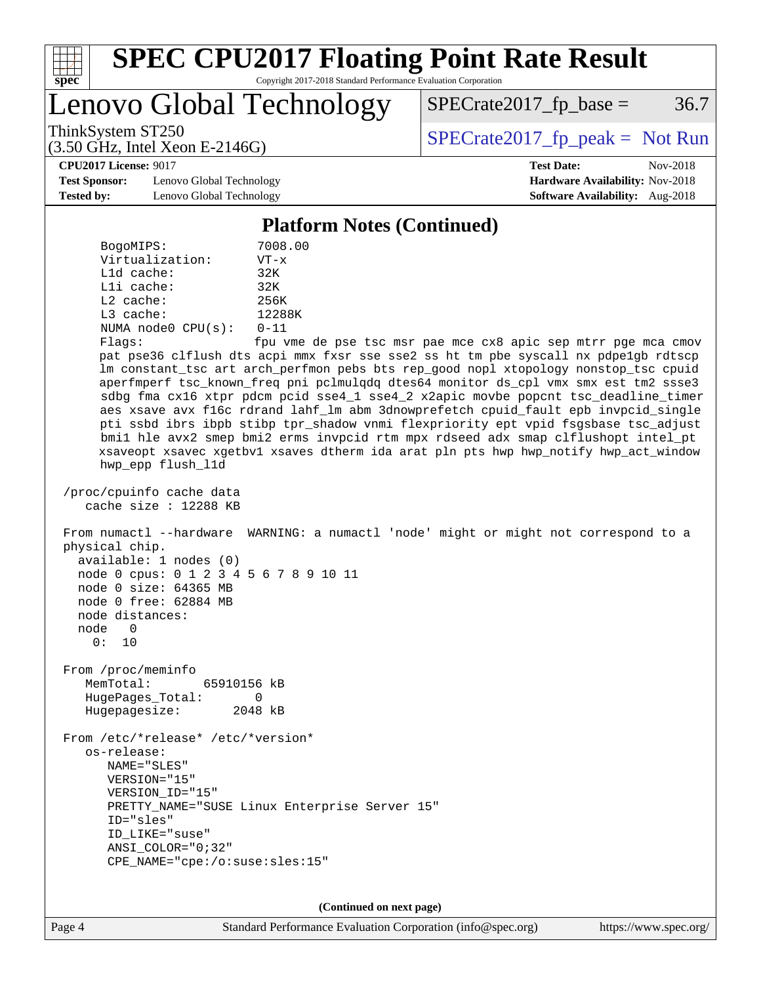

Lenovo Global Technology

 $SPECTate2017<sub>fp</sub> base =  $36.7$$ 

(3.50 GHz, Intel Xeon E-2146G)

ThinkSystem ST250  $SPECrate2017$  fp\_peak = Not Run

**[CPU2017 License:](http://www.spec.org/auto/cpu2017/Docs/result-fields.html#CPU2017License)** 9017 **[Test Date:](http://www.spec.org/auto/cpu2017/Docs/result-fields.html#TestDate)** Nov-2018

**[Test Sponsor:](http://www.spec.org/auto/cpu2017/Docs/result-fields.html#TestSponsor)** Lenovo Global Technology **[Hardware Availability:](http://www.spec.org/auto/cpu2017/Docs/result-fields.html#HardwareAvailability)** Nov-2018 **[Tested by:](http://www.spec.org/auto/cpu2017/Docs/result-fields.html#Testedby)** Lenovo Global Technology **[Software Availability:](http://www.spec.org/auto/cpu2017/Docs/result-fields.html#SoftwareAvailability)** Aug-2018

**[Platform Notes \(Continued\)](http://www.spec.org/auto/cpu2017/Docs/result-fields.html#PlatformNotes)**

| BogoMIPS:               | 7008.00  |
|-------------------------|----------|
| Virtualization:         | $VT - x$ |
| $L1d$ cache:            | 32K      |
| Lli cache:              | 32K      |
| $L2$ cache:             | 256K     |
| $L3$ cache:             | 12288K   |
| NUMA $node0$ $CPU(s)$ : | $0 - 11$ |
| Flaqs:                  | fpu vme  |

de pse tsc msr pae mce cx8 apic sep mtrr pge mca cmov pat pse36 clflush dts acpi mmx fxsr sse sse2 ss ht tm pbe syscall nx pdpe1gb rdtscp lm constant\_tsc art arch\_perfmon pebs bts rep\_good nopl xtopology nonstop\_tsc cpuid aperfmperf tsc\_known\_freq pni pclmulqdq dtes64 monitor ds\_cpl vmx smx est tm2 ssse3 sdbg fma cx16 xtpr pdcm pcid sse4\_1 sse4\_2 x2apic movbe popcnt tsc\_deadline\_timer aes xsave avx f16c rdrand lahf\_lm abm 3dnowprefetch cpuid\_fault epb invpcid\_single pti ssbd ibrs ibpb stibp tpr\_shadow vnmi flexpriority ept vpid fsgsbase tsc\_adjust bmi1 hle avx2 smep bmi2 erms invpcid rtm mpx rdseed adx smap clflushopt intel\_pt xsaveopt xsavec xgetbv1 xsaves dtherm ida arat pln pts hwp hwp\_notify hwp\_act\_window hwp\_epp flush\_l1d

 /proc/cpuinfo cache data cache size : 12288 KB

 From numactl --hardware WARNING: a numactl 'node' might or might not correspond to a physical chip. available: 1 nodes (0) node 0 cpus: 0 1 2 3 4 5 6 7 8 9 10 11 node 0 size: 64365 MB

 node 0 free: 62884 MB node distances: node 0

0: 10

 From /proc/meminfo MemTotal: 65910156 kB HugePages\_Total: 0 Hugepagesize: 2048 kB

 From /etc/\*release\* /etc/\*version\* os-release: NAME="SLES" VERSION="15" VERSION\_ID="15" PRETTY\_NAME="SUSE Linux Enterprise Server 15" ID="sles" ID\_LIKE="suse" ANSI\_COLOR="0;32" CPE\_NAME="cpe:/o:suse:sles:15"

**(Continued on next page)**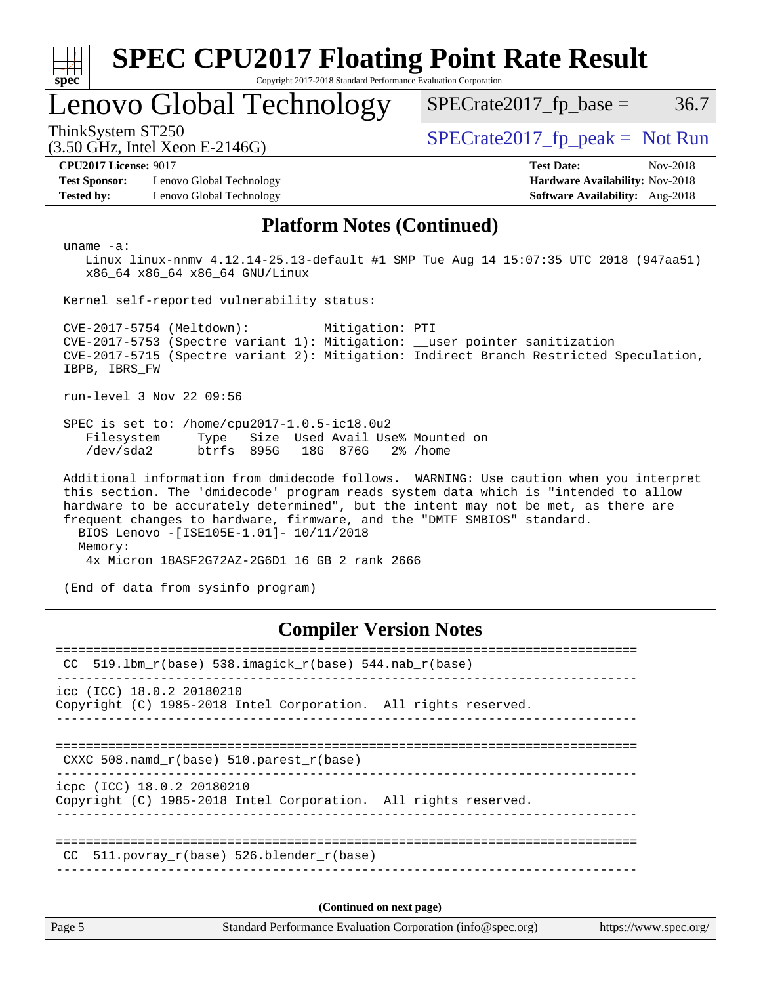| <b>SPEC CPU2017 Floating Point Rate Result</b><br>Copyright 2017-2018 Standard Performance Evaluation Corporation<br>spec <sup>®</sup>                                                                                                                                                                                                                                                     |                                                                                                     |  |  |  |  |
|--------------------------------------------------------------------------------------------------------------------------------------------------------------------------------------------------------------------------------------------------------------------------------------------------------------------------------------------------------------------------------------------|-----------------------------------------------------------------------------------------------------|--|--|--|--|
| Lenovo Global Technology                                                                                                                                                                                                                                                                                                                                                                   | $SPECrate2017_fp\_base =$<br>36.7                                                                   |  |  |  |  |
| ThinkSystem ST250<br>$(3.50$ GHz, Intel Xeon E-2146G)                                                                                                                                                                                                                                                                                                                                      | $SPECrate2017_fp\_peak = Not Run$                                                                   |  |  |  |  |
| <b>CPU2017 License: 9017</b><br><b>Test Sponsor:</b><br>Lenovo Global Technology<br><b>Tested by:</b><br>Lenovo Global Technology                                                                                                                                                                                                                                                          | <b>Test Date:</b><br>Nov-2018<br>Hardware Availability: Nov-2018<br>Software Availability: Aug-2018 |  |  |  |  |
| <b>Platform Notes (Continued)</b>                                                                                                                                                                                                                                                                                                                                                          |                                                                                                     |  |  |  |  |
| uname $-a$ :<br>Linux linux-nnmv 4.12.14-25.13-default #1 SMP Tue Aug 14 15:07:35 UTC 2018 (947aa51)<br>x86 64 x86 64 x86 64 GNU/Linux                                                                                                                                                                                                                                                     |                                                                                                     |  |  |  |  |
| Kernel self-reported vulnerability status:                                                                                                                                                                                                                                                                                                                                                 |                                                                                                     |  |  |  |  |
| CVE-2017-5754 (Meltdown):<br>Mitigation: PTI<br>CVE-2017-5753 (Spectre variant 1): Mitigation: __user pointer sanitization<br>CVE-2017-5715 (Spectre variant 2): Mitigation: Indirect Branch Restricted Speculation,<br>IBPB, IBRS FW                                                                                                                                                      |                                                                                                     |  |  |  |  |
| run-level 3 Nov 22 09:56                                                                                                                                                                                                                                                                                                                                                                   |                                                                                                     |  |  |  |  |
| SPEC is set to: /home/cpu2017-1.0.5-ic18.0u2<br>Size Used Avail Use% Mounted on<br>Filesystem<br>Type<br>btrfs 895G<br>/dev/sda2<br>18G 876G                                                                                                                                                                                                                                               | $2\%$ /home                                                                                         |  |  |  |  |
| Additional information from dmidecode follows. WARNING: Use caution when you interpret<br>this section. The 'dmidecode' program reads system data which is "intended to allow<br>hardware to be accurately determined", but the intent may not be met, as there are<br>frequent changes to hardware, firmware, and the "DMTF SMBIOS" standard.<br>BIOS Lenovo - [ISE105E-1.01]- 10/11/2018 |                                                                                                     |  |  |  |  |
| Memory:<br>4x Micron 18ASF2G72AZ-2G6D1 16 GB 2 rank 2666                                                                                                                                                                                                                                                                                                                                   |                                                                                                     |  |  |  |  |
| (End of data from sysinfo program)                                                                                                                                                                                                                                                                                                                                                         |                                                                                                     |  |  |  |  |
| <b>Compiler Version Notes</b>                                                                                                                                                                                                                                                                                                                                                              |                                                                                                     |  |  |  |  |
| $519.1$ bm_r(base) $538.imagick_r(base)$ $544.nab_r(base)$<br>CC                                                                                                                                                                                                                                                                                                                           |                                                                                                     |  |  |  |  |
| icc (ICC) 18.0.2 20180210<br>Copyright (C) 1985-2018 Intel Corporation. All rights reserved.                                                                                                                                                                                                                                                                                               |                                                                                                     |  |  |  |  |

============================================================================== CXXC 508.namd\_r(base) 510.parest\_r(base)

------------------------------------------------------------------------------

icpc (ICC) 18.0.2 20180210

Copyright (C) 1985-2018 Intel Corporation. All rights reserved. ------------------------------------------------------------------------------

============================================================================== CC 511.povray\_r(base) 526.blender\_r(base) ------------------------------------------------------------------------------

**(Continued on next page)**

Page 5 Standard Performance Evaluation Corporation [\(info@spec.org\)](mailto:info@spec.org) <https://www.spec.org/>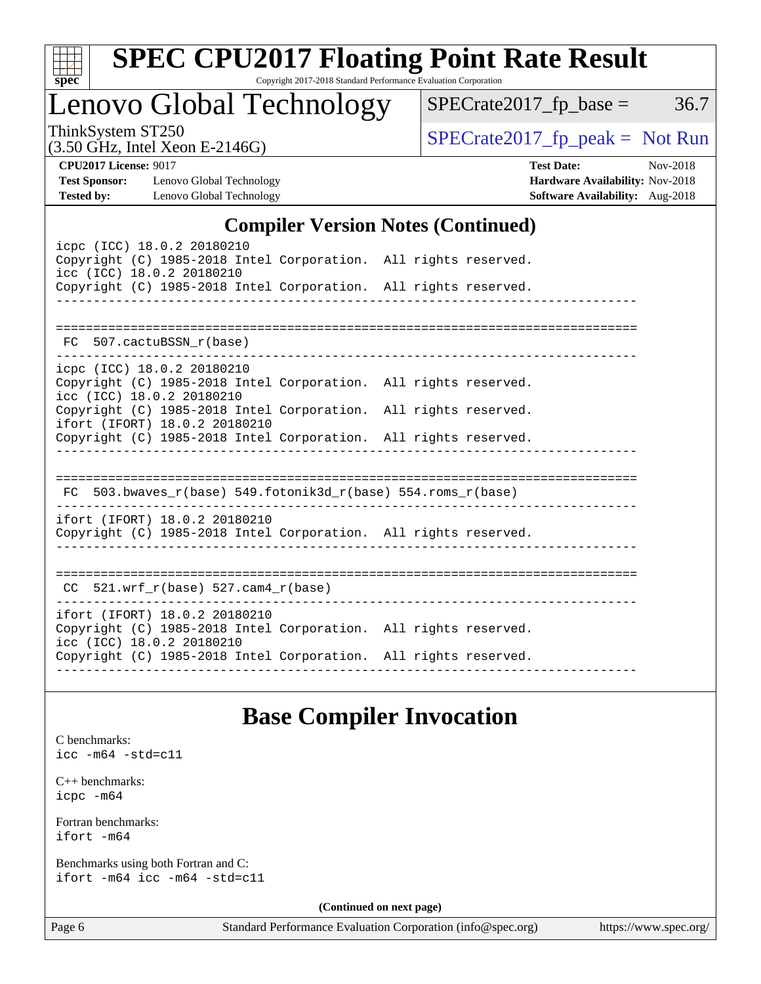| S<br>e<br>U |  |  |  |  |  |
|-------------|--|--|--|--|--|

# **[SPEC CPU2017 Floating Point Rate Result](http://www.spec.org/auto/cpu2017/Docs/result-fields.html#SPECCPU2017FloatingPointRateResult)**

Copyright 2017-2018 Standard Performance Evaluation Corporation

## Lenovo Global Technology

(3.50 GHz, Intel Xeon E-2146G)

 $SPECrate2017_fp\_peak = Not Run$ 

 $SPECTate2017_fp\_base = 36.7$ 

**[CPU2017 License:](http://www.spec.org/auto/cpu2017/Docs/result-fields.html#CPU2017License)** 9017 **[Test Date:](http://www.spec.org/auto/cpu2017/Docs/result-fields.html#TestDate)** Nov-2018 **[Test Sponsor:](http://www.spec.org/auto/cpu2017/Docs/result-fields.html#TestSponsor)** Lenovo Global Technology **[Hardware Availability:](http://www.spec.org/auto/cpu2017/Docs/result-fields.html#HardwareAvailability)** Nov-2018 **[Tested by:](http://www.spec.org/auto/cpu2017/Docs/result-fields.html#Testedby)** Lenovo Global Technology **[Software Availability:](http://www.spec.org/auto/cpu2017/Docs/result-fields.html#SoftwareAvailability)** Aug-2018

### **[Compiler Version Notes \(Continued\)](http://www.spec.org/auto/cpu2017/Docs/result-fields.html#CompilerVersionNotes)**

| icpc (ICC) 18.0.2 20180210<br>Copyright (C) 1985-2018 Intel Corporation. All rights reserved.<br>icc (ICC) 18.0.2 20180210<br>Copyright (C) 1985-2018 Intel Corporation. All rights reserved.<br>_________________________ |  |
|----------------------------------------------------------------------------------------------------------------------------------------------------------------------------------------------------------------------------|--|
|                                                                                                                                                                                                                            |  |
| FC 507.cactuBSSN r(base)                                                                                                                                                                                                   |  |
| icpc (ICC) 18.0.2 20180210<br>Copyright (C) 1985-2018 Intel Corporation. All rights reserved.<br>icc (ICC) 18.0.2 20180210                                                                                                 |  |
| Copyright (C) 1985-2018 Intel Corporation. All rights reserved.<br>ifort (IFORT) 18.0.2 20180210                                                                                                                           |  |
| Copyright (C) 1985-2018 Intel Corporation. All rights reserved.                                                                                                                                                            |  |
| $FC$ 503.bwaves_r(base) 549.fotonik3d_r(base) 554.roms_r(base)<br>ifort (IFORT) 18.0.2 20180210                                                                                                                            |  |
| Copyright (C) 1985-2018 Intel Corporation. All rights reserved.                                                                                                                                                            |  |
| $CC$ 521.wrf_r(base) 527.cam4_r(base)                                                                                                                                                                                      |  |
|                                                                                                                                                                                                                            |  |
| ifort (IFORT) 18.0.2 20180210<br>Copyright (C) 1985-2018 Intel Corporation. All rights reserved.<br>icc (ICC) 18.0.2 20180210                                                                                              |  |
| Copyright (C) 1985-2018 Intel Corporation. All rights reserved.                                                                                                                                                            |  |

### **[Base Compiler Invocation](http://www.spec.org/auto/cpu2017/Docs/result-fields.html#BaseCompilerInvocation)**

[C benchmarks](http://www.spec.org/auto/cpu2017/Docs/result-fields.html#Cbenchmarks): [icc -m64 -std=c11](http://www.spec.org/cpu2017/results/res2018q4/cpu2017-20181126-09900.flags.html#user_CCbase_intel_icc_64bit_c11_33ee0cdaae7deeeab2a9725423ba97205ce30f63b9926c2519791662299b76a0318f32ddfffdc46587804de3178b4f9328c46fa7c2b0cd779d7a61945c91cd35)

[C++ benchmarks:](http://www.spec.org/auto/cpu2017/Docs/result-fields.html#CXXbenchmarks) [icpc -m64](http://www.spec.org/cpu2017/results/res2018q4/cpu2017-20181126-09900.flags.html#user_CXXbase_intel_icpc_64bit_4ecb2543ae3f1412ef961e0650ca070fec7b7afdcd6ed48761b84423119d1bf6bdf5cad15b44d48e7256388bc77273b966e5eb805aefd121eb22e9299b2ec9d9)

[Fortran benchmarks](http://www.spec.org/auto/cpu2017/Docs/result-fields.html#Fortranbenchmarks): [ifort -m64](http://www.spec.org/cpu2017/results/res2018q4/cpu2017-20181126-09900.flags.html#user_FCbase_intel_ifort_64bit_24f2bb282fbaeffd6157abe4f878425411749daecae9a33200eee2bee2fe76f3b89351d69a8130dd5949958ce389cf37ff59a95e7a40d588e8d3a57e0c3fd751)

[Benchmarks using both Fortran and C](http://www.spec.org/auto/cpu2017/Docs/result-fields.html#BenchmarksusingbothFortranandC): [ifort -m64](http://www.spec.org/cpu2017/results/res2018q4/cpu2017-20181126-09900.flags.html#user_CC_FCbase_intel_ifort_64bit_24f2bb282fbaeffd6157abe4f878425411749daecae9a33200eee2bee2fe76f3b89351d69a8130dd5949958ce389cf37ff59a95e7a40d588e8d3a57e0c3fd751) [icc -m64 -std=c11](http://www.spec.org/cpu2017/results/res2018q4/cpu2017-20181126-09900.flags.html#user_CC_FCbase_intel_icc_64bit_c11_33ee0cdaae7deeeab2a9725423ba97205ce30f63b9926c2519791662299b76a0318f32ddfffdc46587804de3178b4f9328c46fa7c2b0cd779d7a61945c91cd35)

**(Continued on next page)**

Page 6 Standard Performance Evaluation Corporation [\(info@spec.org\)](mailto:info@spec.org) <https://www.spec.org/>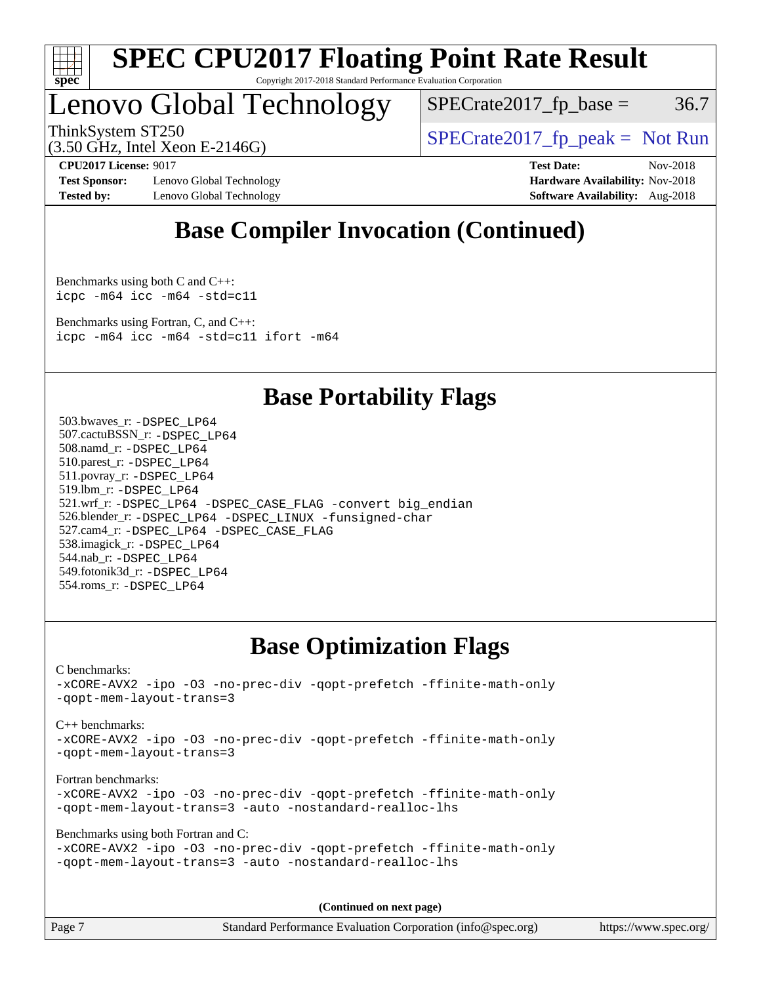

## Lenovo Global Technology

 $SPECTate2017<sub>fp</sub> base =  $36.7$$ 

(3.50 GHz, Intel Xeon E-2146G)

ThinkSystem ST250  $SPECrate2017$  fp\_peak = Not Run

**[Test Sponsor:](http://www.spec.org/auto/cpu2017/Docs/result-fields.html#TestSponsor)** Lenovo Global Technology **[Hardware Availability:](http://www.spec.org/auto/cpu2017/Docs/result-fields.html#HardwareAvailability)** Nov-2018 **[Tested by:](http://www.spec.org/auto/cpu2017/Docs/result-fields.html#Testedby)** Lenovo Global Technology **[Software Availability:](http://www.spec.org/auto/cpu2017/Docs/result-fields.html#SoftwareAvailability)** Aug-2018

**[CPU2017 License:](http://www.spec.org/auto/cpu2017/Docs/result-fields.html#CPU2017License)** 9017 **[Test Date:](http://www.spec.org/auto/cpu2017/Docs/result-fields.html#TestDate)** Nov-2018

### **[Base Compiler Invocation \(Continued\)](http://www.spec.org/auto/cpu2017/Docs/result-fields.html#BaseCompilerInvocation)**

[Benchmarks using both C and C++](http://www.spec.org/auto/cpu2017/Docs/result-fields.html#BenchmarksusingbothCandCXX): [icpc -m64](http://www.spec.org/cpu2017/results/res2018q4/cpu2017-20181126-09900.flags.html#user_CC_CXXbase_intel_icpc_64bit_4ecb2543ae3f1412ef961e0650ca070fec7b7afdcd6ed48761b84423119d1bf6bdf5cad15b44d48e7256388bc77273b966e5eb805aefd121eb22e9299b2ec9d9) [icc -m64 -std=c11](http://www.spec.org/cpu2017/results/res2018q4/cpu2017-20181126-09900.flags.html#user_CC_CXXbase_intel_icc_64bit_c11_33ee0cdaae7deeeab2a9725423ba97205ce30f63b9926c2519791662299b76a0318f32ddfffdc46587804de3178b4f9328c46fa7c2b0cd779d7a61945c91cd35)

[Benchmarks using Fortran, C, and C++:](http://www.spec.org/auto/cpu2017/Docs/result-fields.html#BenchmarksusingFortranCandCXX) [icpc -m64](http://www.spec.org/cpu2017/results/res2018q4/cpu2017-20181126-09900.flags.html#user_CC_CXX_FCbase_intel_icpc_64bit_4ecb2543ae3f1412ef961e0650ca070fec7b7afdcd6ed48761b84423119d1bf6bdf5cad15b44d48e7256388bc77273b966e5eb805aefd121eb22e9299b2ec9d9) [icc -m64 -std=c11](http://www.spec.org/cpu2017/results/res2018q4/cpu2017-20181126-09900.flags.html#user_CC_CXX_FCbase_intel_icc_64bit_c11_33ee0cdaae7deeeab2a9725423ba97205ce30f63b9926c2519791662299b76a0318f32ddfffdc46587804de3178b4f9328c46fa7c2b0cd779d7a61945c91cd35) [ifort -m64](http://www.spec.org/cpu2017/results/res2018q4/cpu2017-20181126-09900.flags.html#user_CC_CXX_FCbase_intel_ifort_64bit_24f2bb282fbaeffd6157abe4f878425411749daecae9a33200eee2bee2fe76f3b89351d69a8130dd5949958ce389cf37ff59a95e7a40d588e8d3a57e0c3fd751)

### **[Base Portability Flags](http://www.spec.org/auto/cpu2017/Docs/result-fields.html#BasePortabilityFlags)**

 503.bwaves\_r: [-DSPEC\\_LP64](http://www.spec.org/cpu2017/results/res2018q4/cpu2017-20181126-09900.flags.html#suite_basePORTABILITY503_bwaves_r_DSPEC_LP64) 507.cactuBSSN\_r: [-DSPEC\\_LP64](http://www.spec.org/cpu2017/results/res2018q4/cpu2017-20181126-09900.flags.html#suite_basePORTABILITY507_cactuBSSN_r_DSPEC_LP64) 508.namd\_r: [-DSPEC\\_LP64](http://www.spec.org/cpu2017/results/res2018q4/cpu2017-20181126-09900.flags.html#suite_basePORTABILITY508_namd_r_DSPEC_LP64) 510.parest\_r: [-DSPEC\\_LP64](http://www.spec.org/cpu2017/results/res2018q4/cpu2017-20181126-09900.flags.html#suite_basePORTABILITY510_parest_r_DSPEC_LP64) 511.povray\_r: [-DSPEC\\_LP64](http://www.spec.org/cpu2017/results/res2018q4/cpu2017-20181126-09900.flags.html#suite_basePORTABILITY511_povray_r_DSPEC_LP64) 519.lbm\_r: [-DSPEC\\_LP64](http://www.spec.org/cpu2017/results/res2018q4/cpu2017-20181126-09900.flags.html#suite_basePORTABILITY519_lbm_r_DSPEC_LP64) 521.wrf\_r: [-DSPEC\\_LP64](http://www.spec.org/cpu2017/results/res2018q4/cpu2017-20181126-09900.flags.html#suite_basePORTABILITY521_wrf_r_DSPEC_LP64) [-DSPEC\\_CASE\\_FLAG](http://www.spec.org/cpu2017/results/res2018q4/cpu2017-20181126-09900.flags.html#b521.wrf_r_baseCPORTABILITY_DSPEC_CASE_FLAG) [-convert big\\_endian](http://www.spec.org/cpu2017/results/res2018q4/cpu2017-20181126-09900.flags.html#user_baseFPORTABILITY521_wrf_r_convert_big_endian_c3194028bc08c63ac5d04de18c48ce6d347e4e562e8892b8bdbdc0214820426deb8554edfa529a3fb25a586e65a3d812c835984020483e7e73212c4d31a38223) 526.blender\_r: [-DSPEC\\_LP64](http://www.spec.org/cpu2017/results/res2018q4/cpu2017-20181126-09900.flags.html#suite_basePORTABILITY526_blender_r_DSPEC_LP64) [-DSPEC\\_LINUX](http://www.spec.org/cpu2017/results/res2018q4/cpu2017-20181126-09900.flags.html#b526.blender_r_baseCPORTABILITY_DSPEC_LINUX) [-funsigned-char](http://www.spec.org/cpu2017/results/res2018q4/cpu2017-20181126-09900.flags.html#user_baseCPORTABILITY526_blender_r_force_uchar_40c60f00ab013830e2dd6774aeded3ff59883ba5a1fc5fc14077f794d777847726e2a5858cbc7672e36e1b067e7e5c1d9a74f7176df07886a243d7cc18edfe67) 527.cam4\_r: [-DSPEC\\_LP64](http://www.spec.org/cpu2017/results/res2018q4/cpu2017-20181126-09900.flags.html#suite_basePORTABILITY527_cam4_r_DSPEC_LP64) [-DSPEC\\_CASE\\_FLAG](http://www.spec.org/cpu2017/results/res2018q4/cpu2017-20181126-09900.flags.html#b527.cam4_r_baseCPORTABILITY_DSPEC_CASE_FLAG) 538.imagick\_r: [-DSPEC\\_LP64](http://www.spec.org/cpu2017/results/res2018q4/cpu2017-20181126-09900.flags.html#suite_basePORTABILITY538_imagick_r_DSPEC_LP64) 544.nab\_r: [-DSPEC\\_LP64](http://www.spec.org/cpu2017/results/res2018q4/cpu2017-20181126-09900.flags.html#suite_basePORTABILITY544_nab_r_DSPEC_LP64) 549.fotonik3d\_r: [-DSPEC\\_LP64](http://www.spec.org/cpu2017/results/res2018q4/cpu2017-20181126-09900.flags.html#suite_basePORTABILITY549_fotonik3d_r_DSPEC_LP64) 554.roms\_r: [-DSPEC\\_LP64](http://www.spec.org/cpu2017/results/res2018q4/cpu2017-20181126-09900.flags.html#suite_basePORTABILITY554_roms_r_DSPEC_LP64)

### **[Base Optimization Flags](http://www.spec.org/auto/cpu2017/Docs/result-fields.html#BaseOptimizationFlags)**

[C benchmarks](http://www.spec.org/auto/cpu2017/Docs/result-fields.html#Cbenchmarks): [-xCORE-AVX2](http://www.spec.org/cpu2017/results/res2018q4/cpu2017-20181126-09900.flags.html#user_CCbase_f-xCORE-AVX2) [-ipo](http://www.spec.org/cpu2017/results/res2018q4/cpu2017-20181126-09900.flags.html#user_CCbase_f-ipo) [-O3](http://www.spec.org/cpu2017/results/res2018q4/cpu2017-20181126-09900.flags.html#user_CCbase_f-O3) [-no-prec-div](http://www.spec.org/cpu2017/results/res2018q4/cpu2017-20181126-09900.flags.html#user_CCbase_f-no-prec-div) [-qopt-prefetch](http://www.spec.org/cpu2017/results/res2018q4/cpu2017-20181126-09900.flags.html#user_CCbase_f-qopt-prefetch) [-ffinite-math-only](http://www.spec.org/cpu2017/results/res2018q4/cpu2017-20181126-09900.flags.html#user_CCbase_f_finite_math_only_cb91587bd2077682c4b38af759c288ed7c732db004271a9512da14a4f8007909a5f1427ecbf1a0fb78ff2a814402c6114ac565ca162485bbcae155b5e4258871) [-qopt-mem-layout-trans=3](http://www.spec.org/cpu2017/results/res2018q4/cpu2017-20181126-09900.flags.html#user_CCbase_f-qopt-mem-layout-trans_de80db37974c74b1f0e20d883f0b675c88c3b01e9d123adea9b28688d64333345fb62bc4a798493513fdb68f60282f9a726aa07f478b2f7113531aecce732043) [C++ benchmarks:](http://www.spec.org/auto/cpu2017/Docs/result-fields.html#CXXbenchmarks) [-xCORE-AVX2](http://www.spec.org/cpu2017/results/res2018q4/cpu2017-20181126-09900.flags.html#user_CXXbase_f-xCORE-AVX2) [-ipo](http://www.spec.org/cpu2017/results/res2018q4/cpu2017-20181126-09900.flags.html#user_CXXbase_f-ipo) [-O3](http://www.spec.org/cpu2017/results/res2018q4/cpu2017-20181126-09900.flags.html#user_CXXbase_f-O3) [-no-prec-div](http://www.spec.org/cpu2017/results/res2018q4/cpu2017-20181126-09900.flags.html#user_CXXbase_f-no-prec-div) [-qopt-prefetch](http://www.spec.org/cpu2017/results/res2018q4/cpu2017-20181126-09900.flags.html#user_CXXbase_f-qopt-prefetch) [-ffinite-math-only](http://www.spec.org/cpu2017/results/res2018q4/cpu2017-20181126-09900.flags.html#user_CXXbase_f_finite_math_only_cb91587bd2077682c4b38af759c288ed7c732db004271a9512da14a4f8007909a5f1427ecbf1a0fb78ff2a814402c6114ac565ca162485bbcae155b5e4258871) [-qopt-mem-layout-trans=3](http://www.spec.org/cpu2017/results/res2018q4/cpu2017-20181126-09900.flags.html#user_CXXbase_f-qopt-mem-layout-trans_de80db37974c74b1f0e20d883f0b675c88c3b01e9d123adea9b28688d64333345fb62bc4a798493513fdb68f60282f9a726aa07f478b2f7113531aecce732043) [Fortran benchmarks](http://www.spec.org/auto/cpu2017/Docs/result-fields.html#Fortranbenchmarks): [-xCORE-AVX2](http://www.spec.org/cpu2017/results/res2018q4/cpu2017-20181126-09900.flags.html#user_FCbase_f-xCORE-AVX2) [-ipo](http://www.spec.org/cpu2017/results/res2018q4/cpu2017-20181126-09900.flags.html#user_FCbase_f-ipo) [-O3](http://www.spec.org/cpu2017/results/res2018q4/cpu2017-20181126-09900.flags.html#user_FCbase_f-O3) [-no-prec-div](http://www.spec.org/cpu2017/results/res2018q4/cpu2017-20181126-09900.flags.html#user_FCbase_f-no-prec-div) [-qopt-prefetch](http://www.spec.org/cpu2017/results/res2018q4/cpu2017-20181126-09900.flags.html#user_FCbase_f-qopt-prefetch) [-ffinite-math-only](http://www.spec.org/cpu2017/results/res2018q4/cpu2017-20181126-09900.flags.html#user_FCbase_f_finite_math_only_cb91587bd2077682c4b38af759c288ed7c732db004271a9512da14a4f8007909a5f1427ecbf1a0fb78ff2a814402c6114ac565ca162485bbcae155b5e4258871) [-qopt-mem-layout-trans=3](http://www.spec.org/cpu2017/results/res2018q4/cpu2017-20181126-09900.flags.html#user_FCbase_f-qopt-mem-layout-trans_de80db37974c74b1f0e20d883f0b675c88c3b01e9d123adea9b28688d64333345fb62bc4a798493513fdb68f60282f9a726aa07f478b2f7113531aecce732043) [-auto](http://www.spec.org/cpu2017/results/res2018q4/cpu2017-20181126-09900.flags.html#user_FCbase_f-auto) [-nostandard-realloc-lhs](http://www.spec.org/cpu2017/results/res2018q4/cpu2017-20181126-09900.flags.html#user_FCbase_f_2003_std_realloc_82b4557e90729c0f113870c07e44d33d6f5a304b4f63d4c15d2d0f1fab99f5daaed73bdb9275d9ae411527f28b936061aa8b9c8f2d63842963b95c9dd6426b8a) [Benchmarks using both Fortran and C](http://www.spec.org/auto/cpu2017/Docs/result-fields.html#BenchmarksusingbothFortranandC): [-xCORE-AVX2](http://www.spec.org/cpu2017/results/res2018q4/cpu2017-20181126-09900.flags.html#user_CC_FCbase_f-xCORE-AVX2) [-ipo](http://www.spec.org/cpu2017/results/res2018q4/cpu2017-20181126-09900.flags.html#user_CC_FCbase_f-ipo) [-O3](http://www.spec.org/cpu2017/results/res2018q4/cpu2017-20181126-09900.flags.html#user_CC_FCbase_f-O3) [-no-prec-div](http://www.spec.org/cpu2017/results/res2018q4/cpu2017-20181126-09900.flags.html#user_CC_FCbase_f-no-prec-div) [-qopt-prefetch](http://www.spec.org/cpu2017/results/res2018q4/cpu2017-20181126-09900.flags.html#user_CC_FCbase_f-qopt-prefetch) [-ffinite-math-only](http://www.spec.org/cpu2017/results/res2018q4/cpu2017-20181126-09900.flags.html#user_CC_FCbase_f_finite_math_only_cb91587bd2077682c4b38af759c288ed7c732db004271a9512da14a4f8007909a5f1427ecbf1a0fb78ff2a814402c6114ac565ca162485bbcae155b5e4258871) [-qopt-mem-layout-trans=3](http://www.spec.org/cpu2017/results/res2018q4/cpu2017-20181126-09900.flags.html#user_CC_FCbase_f-qopt-mem-layout-trans_de80db37974c74b1f0e20d883f0b675c88c3b01e9d123adea9b28688d64333345fb62bc4a798493513fdb68f60282f9a726aa07f478b2f7113531aecce732043) [-auto](http://www.spec.org/cpu2017/results/res2018q4/cpu2017-20181126-09900.flags.html#user_CC_FCbase_f-auto) [-nostandard-realloc-lhs](http://www.spec.org/cpu2017/results/res2018q4/cpu2017-20181126-09900.flags.html#user_CC_FCbase_f_2003_std_realloc_82b4557e90729c0f113870c07e44d33d6f5a304b4f63d4c15d2d0f1fab99f5daaed73bdb9275d9ae411527f28b936061aa8b9c8f2d63842963b95c9dd6426b8a)

**(Continued on next page)**

| Page 7<br>Standard Performance Evaluation Corporation (info@spec.org) | https://www.spec.org/ |
|-----------------------------------------------------------------------|-----------------------|
|-----------------------------------------------------------------------|-----------------------|